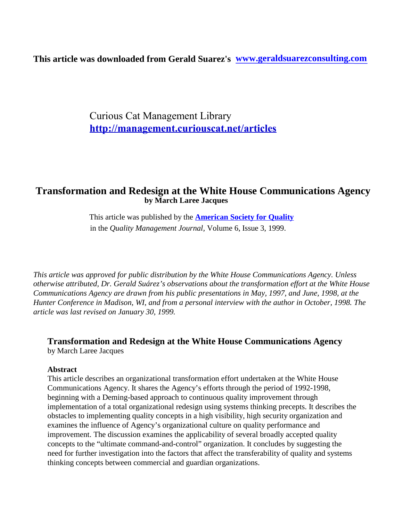# **This article was downloaded from Gerald Suarez's [www.geraldsuarezconsulting.com](http://www.geraldsuarezconsulting.com/)**

Curious Cat Management Library **<http://management.curiouscat.net/articles>**

# **Transformation and Redesign at the White House Communications Agency by March Laree Jacques**

This article was published by the **[American Society for Quality](http://asq.org/index.aspx)** in the *Quality Management Journal,* Volume 6, Issue 3, 1999.

*This article was approved for public distribution by the White House Communications Agency. Unless otherwise attributed, Dr. Gerald Suárez's observations about the transformation effort at the White House Communications Agency are drawn from his public presentations in May, 1997, and June, 1998, at the Hunter Conference in Madison, WI, and from a personal interview with the author in October, 1998. The article was last revised on January 30, 1999.*

# **Transformation and Redesign at the White House Communications Agency**

by March Laree Jacques

# **Abstract**

This article describes an organizational transformation effort undertaken at the White House Communications Agency. It shares the Agency's efforts through the period of 1992-1998, beginning with a Deming-based approach to continuous quality improvement through implementation of a total organizational redesign using systems thinking precepts. It describes the obstacles to implementing quality concepts in a high visibility, high security organization and examines the influence of Agency's organizational culture on quality performance and improvement. The discussion examines the applicability of several broadly accepted quality concepts to the "ultimate command-and-control" organization. It concludes by suggesting the need for further investigation into the factors that affect the transferability of quality and systems thinking concepts between commercial and guardian organizations.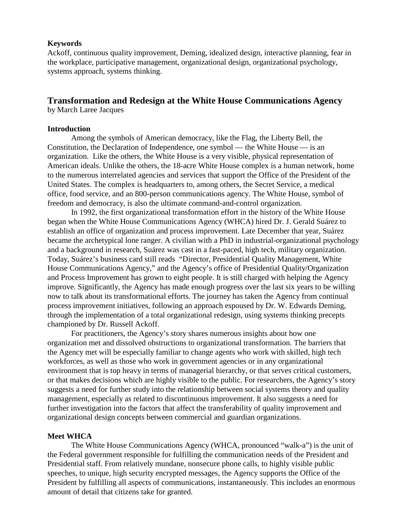## **Keywords**

Ackoff, continuous quality improvement, Deming, idealized design, interactive planning, fear in the workplace, participative management, organizational design, organizational psychology, systems approach, systems thinking.

# **Transformation and Redesign at the White House Communications Agency**

by March Laree Jacques

#### **Introduction**

Among the symbols of American democracy, like the Flag, the Liberty Bell, the Constitution, the Declaration of Independence, one symbol — the White House — is an organization. Like the others, the White House is a very visible, physical representation of American ideals. Unlike the others, the 18-acre White House complex is a human network, home to the numerous interrelated agencies and services that support the Office of the President of the United States. The complex is headquarters to, among others, the Secret Service, a medical office, food service, and an 800-person communications agency. The White House, symbol of freedom and democracy, is also the ultimate command-and-control organization.

In 1992, the first organizational transformation effort in the history of the White House began when the White House Communications Agency (WHCA) hired Dr. J. Gerald Suárez to establish an office of organization and process improvement. Late December that year, Suárez became the archetypical lone ranger. A civilian with a PhD in industrial-organizational psychology and a background in research, Suárez was cast in a fast-paced, high tech, military organization. Today, Suárez's business card still reads "Director, Presidential Quality Management, White House Communications Agency," and the Agency's office of Presidential Quality/Organization and Process Improvement has grown to eight people. It is still charged with helping the Agency improve. Significantly, the Agency has made enough progress over the last six years to be willing now to talk about its transformational efforts. The journey has taken the Agency from continual process improvement initiatives, following an approach espoused by Dr. W. Edwards Deming, through the implementation of a total organizational redesign, using systems thinking precepts championed by Dr. Russell Ackoff.

For practitioners, the Agency's story shares numerous insights about how one organization met and dissolved obstructions to organizational transformation. The barriers that the Agency met will be especially familiar to change agents who work with skilled, high tech workforces, as well as those who work in government agencies or in any organizational environment that is top heavy in terms of managerial hierarchy, or that serves critical customers, or that makes decisions which are highly visible to the public. For researchers, the Agency's story suggests a need for further study into the relationship between social systems theory and quality management, especially as related to discontinuous improvement. It also suggests a need for further investigation into the factors that affect the transferability of quality improvement and organizational design concepts between commercial and guardian organizations.

# **Meet WHCA**

The White House Communications Agency (WHCA, pronounced "walk-a") is the unit of the Federal government responsible for fulfilling the communication needs of the President and Presidential staff. From relatively mundane, nonsecure phone calls, to highly visible public speeches, to unique, high security encrypted messages, the Agency supports the Office of the President by fulfilling all aspects of communications, instantaneously. This includes an enormous amount of detail that citizens take for granted.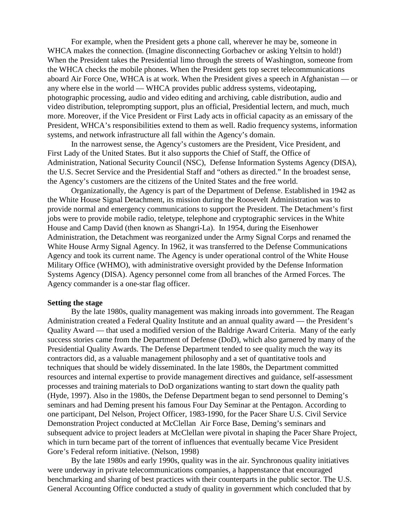For example, when the President gets a phone call, wherever he may be, someone in WHCA makes the connection. (Imagine disconnecting Gorbachev or asking Yeltsin to hold!) When the President takes the Presidential limo through the streets of Washington, someone from the WHCA checks the mobile phones. When the President gets top secret telecommunications aboard Air Force One, WHCA is at work. When the President gives a speech in Afghanistan — or any where else in the world — WHCA provides public address systems, videotaping, photographic processing, audio and video editing and archiving, cable distribution, audio and video distribution, teleprompting support, plus an official, Presidential lectern, and much, much more. Moreover, if the Vice President or First Lady acts in official capacity as an emissary of the President, WHCA's responsibilities extend to them as well. Radio frequency systems, information systems, and network infrastructure all fall within the Agency's domain.

In the narrowest sense, the Agency's customers are the President, Vice President, and First Lady of the United States. But it also supports the Chief of Staff, the Office of Administration, National Security Council (NSC), Defense Information Systems Agency (DISA), the U.S. Secret Service and the Presidential Staff and "others as directed." In the broadest sense, the Agency's customers are the citizens of the United States and the free world.

Organizationally, the Agency is part of the Department of Defense. Established in 1942 as the White House Signal Detachment, its mission during the Roosevelt Administration was to provide normal and emergency communications to support the President. The Detachment's first jobs were to provide mobile radio, teletype, telephone and cryptographic services in the White House and Camp David (then known as Shangri-La). In 1954, during the Eisenhower Administration, the Detachment was reorganized under the Army Signal Corps and renamed the White House Army Signal Agency. In 1962, it was transferred to the Defense Communications Agency and took its current name. The Agency is under operational control of the White House Military Office (WHMO), with administrative oversight provided by the Defense Information Systems Agency (DISA). Agency personnel come from all branches of the Armed Forces. The Agency commander is a one-star flag officer.

# **Setting the stage**

By the late 1980s, quality management was making inroads into government. The Reagan Administration created a Federal Quality Institute and an annual quality award — the President's Quality Award — that used a modified version of the Baldrige Award Criteria. Many of the early success stories came from the Department of Defense (DoD), which also garnered by many of the Presidential Quality Awards. The Defense Department tended to see quality much the way its contractors did, as a valuable management philosophy and a set of quantitative tools and techniques that should be widely disseminated. In the late 1980s, the Department committed resources and internal expertise to provide management directives and guidance, self-assessment processes and training materials to DoD organizations wanting to start down the quality path (Hyde, 1997). Also in the 1980s, the Defense Department began to send personnel to Deming's seminars and had Deming present his famous Four Day Seminar at the Pentagon. According to one participant, Del Nelson, Project Officer, 1983-1990, for the Pacer Share U.S. Civil Service Demonstration Project conducted at McClellan Air Force Base, Deming's seminars and subsequent advice to project leaders at McClellan were pivotal in shaping the Pacer Share Project, which in turn became part of the torrent of influences that eventually became Vice President Gore's Federal reform initiative. (Nelson, 1998)

By the late 1980s and early 1990s, quality was in the air. Synchronous quality initiatives were underway in private telecommunications companies, a happenstance that encouraged benchmarking and sharing of best practices with their counterparts in the public sector. The U.S. General Accounting Office conducted a study of quality in government which concluded that by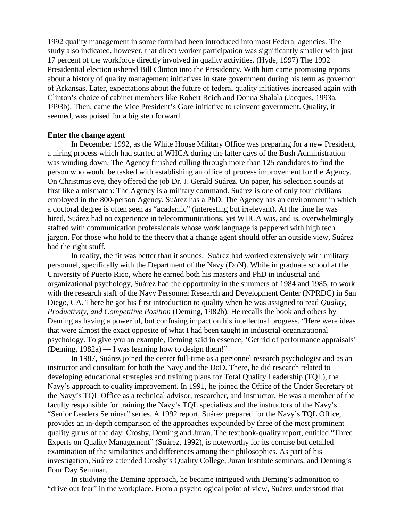1992 quality management in some form had been introduced into most Federal agencies. The study also indicated, however, that direct worker participation was significantly smaller with just 17 percent of the workforce directly involved in quality activities. (Hyde, 1997) The 1992 Presidential election ushered Bill Clinton into the Presidency. With him came promising reports about a history of quality management initiatives in state government during his term as governor of Arkansas. Later, expectations about the future of federal quality initiatives increased again with Clinton's choice of cabinet members like Robert Reich and Donna Shalala (Jacques, 1993a, 1993b). Then, came the Vice President's Gore initiative to reinvent government. Quality, it seemed, was poised for a big step forward.

# **Enter the change agent**

In December 1992, as the White House Military Office was preparing for a new President, a hiring process which had started at WHCA during the latter days of the Bush Administration was winding down. The Agency finished culling through more than 125 candidates to find the person who would be tasked with establishing an office of process improvement for the Agency. On Christmas eve, they offered the job Dr. J. Gerald Suárez. On paper, his selection sounds at first like a mismatch: The Agency is a military command. Suárez is one of only four civilians employed in the 800-person Agency. Suárez has a PhD. The Agency has an environment in which a doctoral degree is often seen as "academic" (interesting but irrelevant). At the time he was hired, Suárez had no experience in telecommunications, yet WHCA was, and is, overwhelmingly staffed with communication professionals whose work language is peppered with high tech jargon. For those who hold to the theory that a change agent should offer an outside view, Suárez had the right stuff.

In reality, the fit was better than it sounds. Suárez had worked extensively with military personnel, specifically with the Department of the Navy (DoN). While in graduate school at the University of Puerto Rico, where he earned both his masters and PhD in industrial and organizational psychology, Suárez had the opportunity in the summers of 1984 and 1985, to work with the research staff of the Navy Personnel Research and Development Center (NPRDC) in San Diego, CA. There he got his first introduction to quality when he was assigned to read *Quality, Productivity, and Competitive Position* (Deming, 1982b). He recalls the book and others by Deming as having a powerful, but confusing impact on his intellectual progress. "Here were ideas that were almost the exact opposite of what I had been taught in industrial-organizational psychology. To give you an example, Deming said in essence, 'Get rid of performance appraisals' (Deming, 1982a) — I was learning how to design them!"

In 1987, Suárez joined the center full-time as a personnel research psychologist and as an instructor and consultant for both the Navy and the DoD. There, he did research related to developing educational strategies and training plans for Total Quality Leadership (TQL), the Navy's approach to quality improvement. In 1991, he joined the Office of the Under Secretary of the Navy's TQL Office as a technical advisor, researcher, and instructor. He was a member of the faculty responsible for training the Navy's TQL specialists and the instructors of the Navy's "Senior Leaders Seminar" series. A 1992 report, Suárez prepared for the Navy's TQL Office, provides an in-depth comparison of the approaches expounded by three of the most prominent quality gurus of the day: Crosby, Deming and Juran. The textbook-quality report, entitled "Three Experts on Quality Management" (Suárez, 1992), is noteworthy for its concise but detailed examination of the similarities and differences among their philosophies. As part of his investigation, Suárez attended Crosby's Quality College, Juran Institute seminars, and Deming's Four Day Seminar.

In studying the Deming approach, he became intrigued with Deming's admonition to "drive out fear" in the workplace. From a psychological point of view, Suárez understood that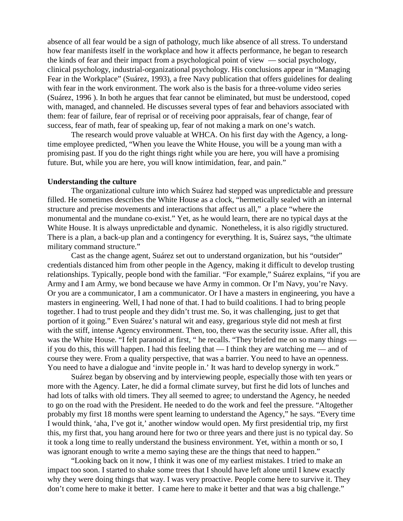absence of all fear would be a sign of pathology, much like absence of all stress. To understand how fear manifests itself in the workplace and how it affects performance, he began to research the kinds of fear and their impact from a psychological point of view — social psychology, clinical psychology, industrial-organizational psychology. His conclusions appear in "Managing Fear in the Workplace" (Suárez, 1993), a free Navy publication that offers guidelines for dealing with fear in the work environment. The work also is the basis for a three-volume video series (Suárez, 1996 ). In both he argues that fear cannot be eliminated, but must be understood, coped with, managed, and channeled. He discusses several types of fear and behaviors associated with them: fear of failure, fear of reprisal or of receiving poor appraisals, fear of change, fear of success, fear of math, fear of speaking up, fear of not making a mark on one's watch.

The research would prove valuable at WHCA. On his first day with the Agency, a longtime employee predicted, "When you leave the White House, you will be a young man with a promising past. If you do the right things right while you are here, you will have a promising future. But, while you are here, you will know intimidation, fear, and pain."

#### **Understanding the culture**

The organizational culture into which Suárez had stepped was unpredictable and pressure filled. He sometimes describes the White House as a clock, "hermetically sealed with an internal structure and precise movements and interactions that affect us all," a place "where the monumental and the mundane co-exist." Yet, as he would learn, there are no typical days at the White House. It is always unpredictable and dynamic. Nonetheless, it is also rigidly structured. There is a plan, a back-up plan and a contingency for everything. It is, Suárez says, "the ultimate military command structure."

Cast as the change agent, Suárez set out to understand organization, but his "outsider" credentials distanced him from other people in the Agency, making it difficult to develop trusting relationships. Typically, people bond with the familiar. "For example," Suárez explains, "if you are Army and I am Army, we bond because we have Army in common. Or I'm Navy, you're Navy. Or you are a communicator, I am a communicator. Or I have a masters in engineering, you have a masters in engineering. Well, I had none of that. I had to build coalitions. I had to bring people together. I had to trust people and they didn't trust me. So, it was challenging, just to get that portion of it going." Even Suárez's natural wit and easy, gregarious style did not mesh at first with the stiff, intense Agency environment. Then, too, there was the security issue. After all, this was the White House. "I felt paranoid at first, " he recalls. "They briefed me on so many things if you do this, this will happen. I had this feeling that — I think they are watching me — and of course they were. From a quality perspective, that was a barrier. You need to have an openness. You need to have a dialogue and 'invite people in.' It was hard to develop synergy in work."

Suárez began by observing and by interviewing people, especially those with ten years or more with the Agency. Later, he did a formal climate survey, but first he did lots of lunches and had lots of talks with old timers. They all seemed to agree; to understand the Agency, he needed to go on the road with the President. He needed to do the work and feel the pressure. "Altogether probably my first 18 months were spent learning to understand the Agency," he says. "Every time I would think, 'aha, I've got it,' another window would open. My first presidential trip, my first this, my first that, you hang around here for two or three years and there just is no typical day. So it took a long time to really understand the business environment. Yet, within a month or so, I was ignorant enough to write a memo saying these are the things that need to happen."

"Looking back on it now, I think it was one of my earliest mistakes. I tried to make an impact too soon. I started to shake some trees that I should have left alone until I knew exactly why they were doing things that way. I was very proactive. People come here to survive it. They don't come here to make it better. I came here to make it better and that was a big challenge."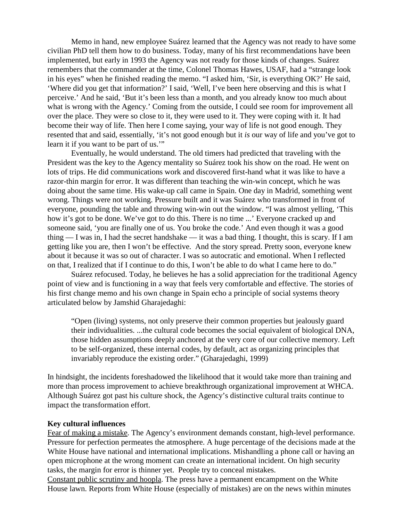Memo in hand, new employee Suárez learned that the Agency was not ready to have some civilian PhD tell them how to do business. Today, many of his first recommendations have been implemented, but early in 1993 the Agency was not ready for those kinds of changes. Suárez remembers that the commander at the time, Colonel Thomas Hawes, USAF, had a "strange look in his eyes" when he finished reading the memo. "I asked him, 'Sir, is everything OK?' He said, 'Where did you get that information?' I said, 'Well, I've been here observing and this is what I perceive.' And he said, 'But it's been less than a month, and you already know too much about what is wrong with the Agency.' Coming from the outside, I could see room for improvement all over the place. They were so close to it, they were used to it. They were coping with it. It had become their way of life. Then here I come saying, your way of life is not good enough. They resented that and said, essentially, 'it's not good enough but it *is* our way of life and you've got to learn it if you want to be part of us.'"

Eventually, he would understand. The old timers had predicted that traveling with the President was the key to the Agency mentality so Suárez took his show on the road. He went on lots of trips. He did communications work and discovered first-hand what it was like to have a razor-thin margin for error. It was different than teaching the win-win concept, which he was doing about the same time. His wake-up call came in Spain. One day in Madrid, something went wrong. Things were not working. Pressure built and it was Suárez who transformed in front of everyone, pounding the table and throwing win-win out the window. "I was almost yelling, 'This how it's got to be done. We've got to do this. There is no time ...' Everyone cracked up and someone said, 'you are finally one of us. You broke the code.' And even though it was a good thing — I was in, I had the secret handshake — it was a bad thing. I thought, this is scary. If I am getting like you are, then I won't be effective. And the story spread. Pretty soon, everyone knew about it because it was so out of character. I was so autocratic and emotional. When I reflected on that, I realized that if I continue to do this, I won't be able to do what I came here to do."

Suárez refocused. Today, he believes he has a solid appreciation for the traditional Agency point of view and is functioning in a way that feels very comfortable and effective. The stories of his first change memo and his own change in Spain echo a principle of social systems theory articulated below by Jamshid Gharajedaghi:

"Open (living) systems, not only preserve their common properties but jealously guard their individualities. ...the cultural code becomes the social equivalent of biological DNA, those hidden assumptions deeply anchored at the very core of our collective memory. Left to be self-organized, these internal codes, by default, act as organizing principles that invariably reproduce the existing order." (Gharajedaghi, 1999)

In hindsight, the incidents foreshadowed the likelihood that it would take more than training and more than process improvement to achieve breakthrough organizational improvement at WHCA. Although Suárez got past his culture shock, the Agency's distinctive cultural traits continue to impact the transformation effort.

# **Key cultural influences**

Fear of making a mistake. The Agency's environment demands constant, high-level performance. Pressure for perfection permeates the atmosphere. A huge percentage of the decisions made at the White House have national and international implications. Mishandling a phone call or having an open microphone at the wrong moment can create an international incident. On high security tasks, the margin for error is thinner yet. People try to conceal mistakes.

Constant public scrutiny and hoopla. The press have a permanent encampment on the White House lawn. Reports from White House (especially of mistakes) are on the news within minutes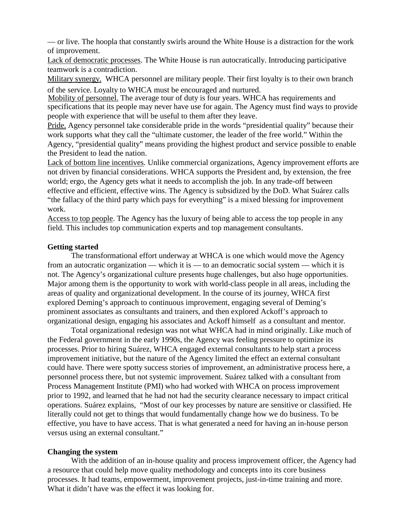— or live. The hoopla that constantly swirls around the White House is a distraction for the work of improvement.

Lack of democratic processes. The White House is run autocratically. Introducing participative teamwork is a contradiction.

Military synergy. WHCA personnel are military people. Their first loyalty is to their own branch of the service. Loyalty to WHCA must be encouraged and nurtured.

Mobility of personnel. The average tour of duty is four years. WHCA has requirements and specifications that its people may never have use for again. The Agency must find ways to provide people with experience that will be useful to them after they leave.

Pride. Agency personnel take considerable pride in the words "presidential quality" because their work supports what they call the "ultimate customer, the leader of the free world." Within the Agency, "presidential quality" means providing the highest product and service possible to enable the President to lead the nation.

Lack of bottom line incentives. Unlike commercial organizations, Agency improvement efforts are not driven by financial considerations. WHCA supports the President and, by extension, the free world; ergo, the Agency gets what it needs to accomplish the job. In any trade-off between effective and efficient, effective wins. The Agency is subsidized by the DoD. What Suárez calls "the fallacy of the third party which pays for everything" is a mixed blessing for improvement work.

Access to top people. The Agency has the luxury of being able to access the top people in any field. This includes top communication experts and top management consultants.

# **Getting started**

The transformational effort underway at WHCA is one which would move the Agency from an autocratic organization — which it is — to an democratic social system — which it is not. The Agency's organizational culture presents huge challenges, but also huge opportunities. Major among them is the opportunity to work with world-class people in all areas, including the areas of quality and organizational development. In the course of its journey, WHCA first explored Deming's approach to continuous improvement, engaging several of Deming's prominent associates as consultants and trainers, and then explored Ackoff's approach to organizational design, engaging his associates and Ackoff himself as a consultant and mentor.

Total organizational redesign was not what WHCA had in mind originally. Like much of the Federal government in the early 1990s, the Agency was feeling pressure to optimize its processes. Prior to hiring Suárez, WHCA engaged external consultants to help start a process improvement initiative, but the nature of the Agency limited the effect an external consultant could have. There were spotty success stories of improvement, an administrative process here, a personnel process there, but not systemic improvement. Suárez talked with a consultant from Process Management Institute (PMI) who had worked with WHCA on process improvement prior to 1992, and learned that he had not had the security clearance necessary to impact critical operations. Suárez explains, "Most of our key processes by nature are sensitive or classified. He literally could not get to things that would fundamentally change how we do business. To be effective, you have to have access. That is what generated a need for having an in-house person versus using an external consultant."

# **Changing the system**

With the addition of an in-house quality and process improvement officer, the Agency had a resource that could help move quality methodology and concepts into its core business processes. It had teams, empowerment, improvement projects, just-in-time training and more. What it didn't have was the effect it was looking for.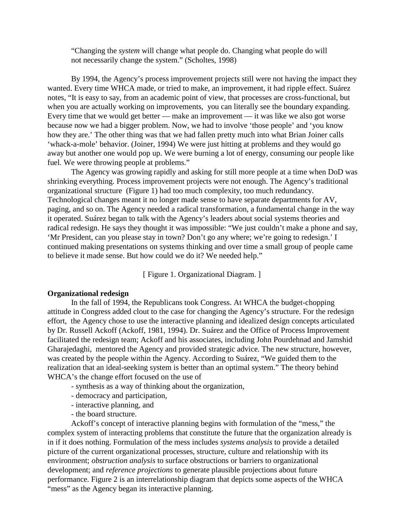"Changing the *system* will change what people do. Changing what people do will not necessarily change the system." (Scholtes, 1998)

By 1994, the Agency's process improvement projects still were not having the impact they wanted. Every time WHCA made, or tried to make, an improvement, it had ripple effect. Suárez notes, "It is easy to say, from an academic point of view, that processes are cross-functional, but when you are actually working on improvements, you can literally see the boundary expanding. Every time that we would get better — make an improvement — it was like we also got worse because now we had a bigger problem. Now, we had to involve 'those people' and 'you know how they are.' The other thing was that we had fallen pretty much into what Brian Joiner calls 'whack-a-mole' behavior. (Joiner, 1994) We were just hitting at problems and they would go away but another one would pop up. We were burning a lot of energy, consuming our people like fuel. We were throwing people at problems."

The Agency was growing rapidly and asking for still more people at a time when DoD was shrinking everything. Process improvement projects were not enough. The Agency's traditional organizational structure (Figure 1) had too much complexity, too much redundancy. Technological changes meant it no longer made sense to have separate departments for AV, paging, and so on. The Agency needed a radical transformation, a fundamental change in the way it operated. Suárez began to talk with the Agency's leaders about social systems theories and radical redesign. He says they thought it was impossible: "We just couldn't make a phone and say, 'Mr President, can you please stay in town? Don't go any where; we're going to redesign.' I continued making presentations on systems thinking and over time a small group of people came to believe it made sense. But how could we do it? We needed help."

[ Figure 1. Organizational Diagram. ]

#### **Organizational redesign**

In the fall of 1994, the Republicans took Congress. At WHCA the budget-chopping attitude in Congress added clout to the case for changing the Agency's structure. For the redesign effort, the Agency chose to use the interactive planning and idealized design concepts articulated by Dr. Russell Ackoff (Ackoff, 1981, 1994). Dr. Suárez and the Office of Process Improvement facilitated the redesign team; Ackoff and his associates, including John Pourdehnad and Jamshid Gharajedaghi, mentored the Agency and provided strategic advice. The new structure, however, was created by the people within the Agency. According to Suárez, "We guided them to the realization that an ideal-seeking system is better than an optimal system." The theory behind WHCA's the change effort focused on the use of

- synthesis as a way of thinking about the organization,
- democracy and participation,
- interactive planning, and
- the board structure.

Ackoff's concept of interactive planning begins with formulation of the "mess," the complex system of interacting problems that constitute the future that the organization already is in if it does nothing. Formulation of the mess includes *systems analysis* to provide a detailed picture of the current organizational processes, structure, culture and relationship with its environment; *obstruction analysis* to surface obstructions or barriers to organizational development; and *reference projections* to generate plausible projections about future performance. Figure 2 is an interrelationship diagram that depicts some aspects of the WHCA "mess" as the Agency began its interactive planning.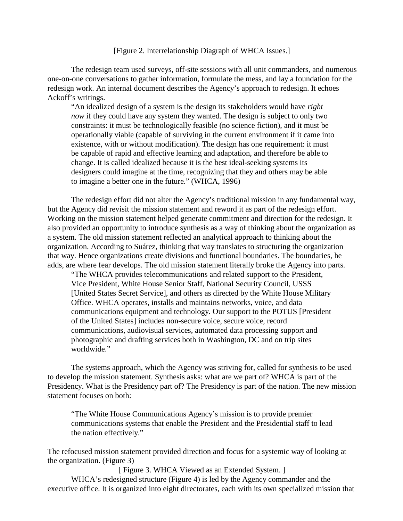## [Figure 2. Interrelationship Diagraph of WHCA Issues.]

The redesign team used surveys, off-site sessions with all unit commanders, and numerous one-on-one conversations to gather information, formulate the mess, and lay a foundation for the redesign work. An internal document describes the Agency's approach to redesign. It echoes Ackoff's writings.

"An idealized design of a system is the design its stakeholders would have *right now* if they could have any system they wanted. The design is subject to only two constraints: it must be technologically feasible (no science fiction), and it must be operationally viable (capable of surviving in the current environment if it came into existence, with or without modification). The design has one requirement: it must be capable of rapid and effective learning and adaptation, and therefore be able to change. It is called idealized because it is the best ideal-seeking systems its designers could imagine at the time, recognizing that they and others may be able to imagine a better one in the future." (WHCA, 1996)

The redesign effort did not alter the Agency's traditional mission in any fundamental way, but the Agency did revisit the mission statement and reword it as part of the redesign effort. Working on the mission statement helped generate commitment and direction for the redesign. It also provided an opportunity to introduce synthesis as a way of thinking about the organization as a system. The old mission statement reflected an analytical approach to thinking about the organization. According to Suárez, thinking that way translates to structuring the organization that way. Hence organizations create divisions and functional boundaries. The boundaries, he adds, are where fear develops. The old mission statement literally broke the Agency into parts.

"The WHCA provides telecommunications and related support to the President, Vice President, White House Senior Staff, National Security Council, USSS [United States Secret Service], and others as directed by the White House Military Office. WHCA operates, installs and maintains networks, voice, and data communications equipment and technology. Our support to the POTUS [President of the United States] includes non-secure voice, secure voice, record communications, audiovisual services, automated data processing support and photographic and drafting services both in Washington, DC and on trip sites worldwide."

The systems approach, which the Agency was striving for, called for synthesis to be used to develop the mission statement. Synthesis asks: what are we part of? WHCA is part of the Presidency. What is the Presidency part of? The Presidency is part of the nation. The new mission statement focuses on both:

"The White House Communications Agency's mission is to provide premier communications systems that enable the President and the Presidential staff to lead the nation effectively."

The refocused mission statement provided direction and focus for a systemic way of looking at the organization. (Figure 3)

[ Figure 3. WHCA Viewed as an Extended System. ] WHCA's redesigned structure (Figure 4) is led by the Agency commander and the executive office. It is organized into eight directorates, each with its own specialized mission that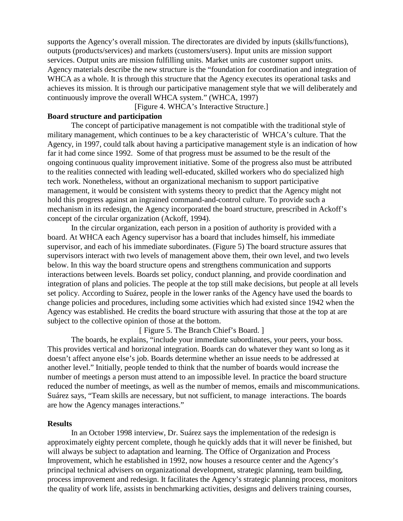supports the Agency's overall mission. The directorates are divided by inputs (skills/functions), outputs (products/services) and markets (customers/users). Input units are mission support services. Output units are mission fulfilling units. Market units are customer support units. Agency materials describe the new structure is the "foundation for coordination and integration of WHCA as a whole. It is through this structure that the Agency executes its operational tasks and achieves its mission. It is through our participative management style that we will deliberately and continuously improve the overall WHCA system." (WHCA, 1997)

[Figure 4. WHCA's Interactive Structure.]

# **Board structure and participation**

The concept of participative management is not compatible with the traditional style of military management, which continues to be a key characteristic of WHCA's culture. That the Agency, in 1997, could talk about having a participative management style is an indication of how far it had come since 1992. Some of that progress must be assumed to be the result of the ongoing continuous quality improvement initiative. Some of the progress also must be attributed to the realities connected with leading well-educated, skilled workers who do specialized high tech work. Nonetheless, without an organizational mechanism to support participative management, it would be consistent with systems theory to predict that the Agency might not hold this progress against an ingrained command-and-control culture. To provide such a mechanism in its redesign, the Agency incorporated the board structure, prescribed in Ackoff's concept of the circular organization (Ackoff, 1994).

In the circular organization, each person in a position of authority is provided with a board. At WHCA each Agency supervisor has a board that includes himself, his immediate supervisor, and each of his immediate subordinates. (Figure 5) The board structure assures that supervisors interact with two levels of management above them, their own level, and two levels below. In this way the board structure opens and strengthens communication and supports interactions between levels. Boards set policy, conduct planning, and provide coordination and integration of plans and policies. The people at the top still make decisions, but people at all levels set policy. According to Suárez, people in the lower ranks of the Agency have used the boards to change policies and procedures, including some activities which had existed since 1942 when the Agency was established. He credits the board structure with assuring that those at the top at are subject to the collective opinion of those at the bottom.

[ Figure 5. The Branch Chief's Board. ]

The boards, he explains, "include your immediate subordinates, your peers, your boss. This provides vertical and horizonal integration. Boards can do whatever they want so long as it doesn't affect anyone else's job. Boards determine whether an issue needs to be addressed at another level." Initially, people tended to think that the number of boards would increase the number of meetings a person must attend to an impossible level. In practice the board structure reduced the number of meetings, as well as the number of memos, emails and miscommunications. Suárez says, "Team skills are necessary, but not sufficient, to manage interactions. The boards are how the Agency manages interactions."

# **Results**

In an October 1998 interview, Dr. Suárez says the implementation of the redesign is approximately eighty percent complete, though he quickly adds that it will never be finished, but will always be subject to adaptation and learning. The Office of Organization and Process Improvement, which he established in 1992, now houses a resource center and the Agency's principal technical advisers on organizational development, strategic planning, team building, process improvement and redesign. It facilitates the Agency's strategic planning process, monitors the quality of work life, assists in benchmarking activities, designs and delivers training courses,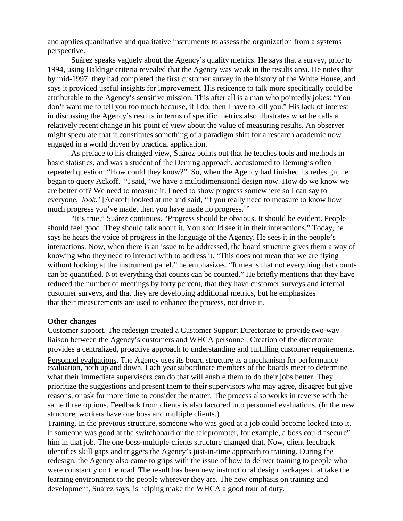and applies quantitative and qualitative instruments to assess the organization from a systems perspective.

Suárez speaks vaguely about the Agency's quality metrics. He says that a survey, prior to 1994, using Baldrige criteria revealed that the Agency was weak in the results area. He notes that by mid-1997, they had completed the first customer survey in the history of the White House, and says it provided useful insights for improvement. His reticence to talk more specifically could be attributable to the Agency's sensitive mission. This after all is a man who pointedly jokes: "You don't want me to tell you too much because, if I do, then I have to kill you." His lack of interest in discussing the Agency's results in terms of specific metrics also illustrates what he calls a relatively recent change in his point of view about the value of measuring results. An observer might speculate that it constitutes something of a paradigm shift for a research academic now engaged in a world driven by practical application.

As preface to his changed view, Suárez points out that he teaches tools and methods in basic statistics, and was a student of the Deming approach, accustomed to Deming's often repeated question: "How could they know?" So, when the Agency had finished its redesign, he began to query Ackoff. "I said, 'we have a multidimensional design now. How do we know we are better off? We need to measure it. I need to show progress somewhere so I can say to everyone, *look.'* [Ackoff] looked at me and said, 'if you really need to measure to know how much progress you've made, then you have made no progress.'"

"It's true," Suárez continues. "Progress should be obvious. It should be evident. People should feel good. They should talk about it. You should see it in their interactions." Today, he says he hears the voice of progress in the language of the Agency. He sees it in the people's interactions. Now, when there is an issue to be addressed, the board structure gives them a way of knowing who they need to interact with to address it. "This does not mean that we are flying without looking at the instrument panel," he emphasizes. "It means that not everything that counts can be quantified. Not everything that counts can be counted." He briefly mentions that they have reduced the number of meetings by forty percent, that they have customer surveys and internal customer surveys, and that they are developing additional metrics, but he emphasizes that their measurements are used to enhance the process, not drive it.

# **Other changes**

Customer support. The redesign created a Customer Support Directorate to provide two-way liaison between the Agency's customers and WHCA personnel. Creation of the directorate provides a centralized, proactive approach to understanding and fulfilling customer requirements. Personnel evaluations. The Agency uses its board structure as a mechanism for performance evaluation, both up and down. Each year subordinate members of the boards meet to determine what their immediate supervisors can do that will enable them to do their jobs better. They prioritize the suggestions and present them to their supervisors who may agree, disagree but give reasons, or ask for more time to consider the matter. The process also works in reverse with the same three options. Feedback from clients is also factored into personnel evaluations. (In the new structure, workers have one boss and multiple clients.)

Training. In the previous structure, someone who was good at a job could become locked into it. If someone was good at the switchboard or the teleprompter, for example, a boss could "secure" him in that job. The one-boss-multiple-clients structure changed that. Now, client feedback identifies skill gaps and triggers the Agency's just-in-time approach to training. During the redesign, the Agency also came to grips with the issue of how to deliver training to people who were constantly on the road. The result has been new instructional design packages that take the learning environment to the people wherever they are. The new emphasis on training and development, Suárez says, is helping make the WHCA a good tour of duty.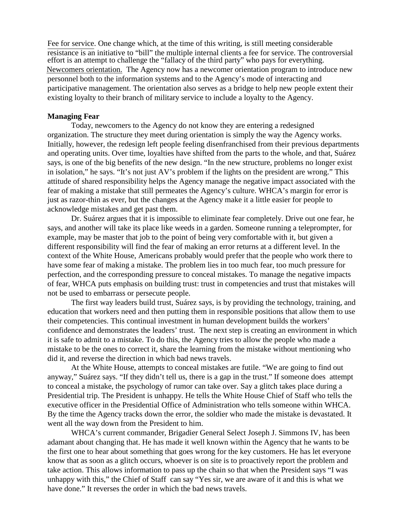Fee for service. One change which, at the time of this writing, is still meeting considerable resistance is an initiative to "bill" the multiple internal clients a fee for service. The controversial effort is an attempt to challenge the "fallacy of the third party" who pays for everything. Newcomers orientation. The Agency now has a newcomer orientation program to introduce new personnel both to the information systems and to the Agency's mode of interacting and participative management. The orientation also serves as a bridge to help new people extent their existing loyalty to their branch of military service to include a loyalty to the Agency.

#### **Managing Fear**

Today, newcomers to the Agency do not know they are entering a redesigned organization. The structure they meet during orientation is simply the way the Agency works. Initially, however, the redesign left people feeling disenfranchised from their previous departments and operating units. Over time, loyalties have shifted from the parts to the whole, and that, Suárez says, is one of the big benefits of the new design. "In the new structure, problems no longer exist in isolation," he says. "It's not just AV's problem if the lights on the president are wrong." This attitude of shared responsibility helps the Agency manage the negative impact associated with the fear of making a mistake that still permeates the Agency's culture. WHCA's margin for error is just as razor-thin as ever, but the changes at the Agency make it a little easier for people to acknowledge mistakes and get past them.

Dr. Suárez argues that it is impossible to eliminate fear completely. Drive out one fear, he says, and another will take its place like weeds in a garden. Someone running a teleprompter, for example, may be master that job to the point of being very comfortable with it, but given a different responsibility will find the fear of making an error returns at a different level. In the context of the White House, Americans probably would prefer that the people who work there to have some fear of making a mistake. The problem lies in too much fear, too much pressure for perfection, and the corresponding pressure to conceal mistakes. To manage the negative impacts of fear, WHCA puts emphasis on building trust: trust in competencies and trust that mistakes will not be used to embarrass or persecute people.

The first way leaders build trust, Suárez says, is by providing the technology, training, and education that workers need and then putting them in responsible positions that allow them to use their competencies. This continual investment in human development builds the workers' confidence and demonstrates the leaders' trust. The next step is creating an environment in which it is safe to admit to a mistake. To do this, the Agency tries to allow the people who made a mistake to be the ones to correct it, share the learning from the mistake without mentioning who did it, and reverse the direction in which bad news travels.

At the White House, attempts to conceal mistakes are futile. "We are going to find out anyway," Suárez says. "If they didn't tell us, there is a gap in the trust." If someone does attempt to conceal a mistake, the psychology of rumor can take over. Say a glitch takes place during a Presidential trip. The President is unhappy. He tells the White House Chief of Staff who tells the executive officer in the Presidential Office of Administration who tells someone within WHCA. By the time the Agency tracks down the error, the soldier who made the mistake is devastated. It went all the way down from the President to him.

WHCA's current commander, Brigadier General Select Joseph J. Simmons IV, has been adamant about changing that. He has made it well known within the Agency that he wants to be the first one to hear about something that goes wrong for the key customers. He has let everyone know that as soon as a glitch occurs, whoever is on site is to proactively report the problem and take action. This allows information to pass up the chain so that when the President says "I was unhappy with this," the Chief of Staff can say "Yes sir, we are aware of it and this is what we have done." It reverses the order in which the bad news travels.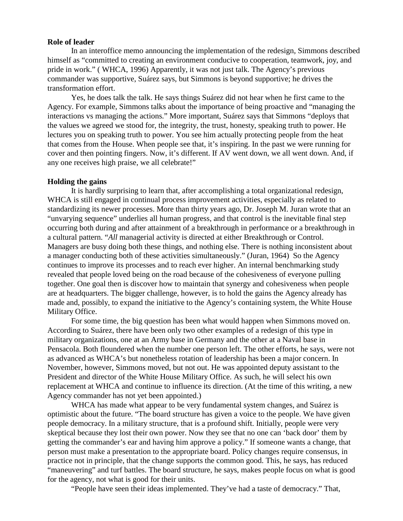## **Role of leader**

In an interoffice memo announcing the implementation of the redesign, Simmons described himself as "committed to creating an environment conducive to cooperation, teamwork, joy, and pride in work." ( WHCA, 1996) Apparently, it was not just talk. The Agency's previous commander was supportive, Suárez says, but Simmons is beyond supportive; he drives the transformation effort.

Yes, he does talk the talk. He says things Suárez did not hear when he first came to the Agency. For example, Simmons talks about the importance of being proactive and "managing the interactions vs managing the actions." More important, Suárez says that Simmons "deploys that the values we agreed we stood for, the integrity, the trust, honesty, speaking truth to power. He lectures you on speaking truth to power. You see him actually protecting people from the heat that comes from the House. When people see that, it's inspiring. In the past we were running for cover and then pointing fingers. Now, it's different. If AV went down, we all went down. And, if any one receives high praise, we all celebrate!"

# **Holding the gains**

It is hardly surprising to learn that, after accomplishing a total organizational redesign, WHCA is still engaged in continual process improvement activities, especially as related to standardizing its newer processes. More than thirty years ago, Dr. Joseph M. Juran wrote that an "unvarying sequence" underlies all human progress, and that control is the inevitable final step occurring both during and after attainment of a breakthrough in performance or a breakthrough in a cultural pattern. "*All* managerial activity is directed at either Breakthrough or Control. Managers are busy doing both these things, and nothing else. There is nothing inconsistent about a manager conducting both of these activities simultaneously." (Juran, 1964) So the Agency continues to improve its processes and to reach ever higher. An internal benchmarking study revealed that people loved being on the road because of the cohesiveness of everyone pulling together. One goal then is discover how to maintain that synergy and cohesiveness when people are at headquarters. The bigger challenge, however, is to hold the gains the Agency already has made and, possibly, to expand the initiative to the Agency's containing system, the White House Military Office.

For some time, the big question has been what would happen when Simmons moved on. According to Suárez, there have been only two other examples of a redesign of this type in military organizations, one at an Army base in Germany and the other at a Naval base in Pensacola. Both floundered when the number one person left. The other efforts, he says, were not as advanced as WHCA's but nonetheless rotation of leadership has been a major concern. In November, however, Simmons moved, but not out. He was appointed deputy assistant to the President and director of the White House Military Office. As such, he will select his own replacement at WHCA and continue to influence its direction. (At the time of this writing, a new Agency commander has not yet been appointed.)

WHCA has made what appear to be very fundamental system changes, and Suárez is optimistic about the future. "The board structure has given a voice to the people. We have given people democracy. In a military structure, that is a profound shift. Initially, people were very skeptical because they lost their own power. Now they see that no one can 'back door' them by getting the commander's ear and having him approve a policy." If someone wants a change, that person must make a presentation to the appropriate board. Policy changes require consensus, in practice not in principle, that the change supports the common good. This, he says, has reduced "maneuvering" and turf battles. The board structure, he says, makes people focus on what is good for the agency, not what is good for their units.

"People have seen their ideas implemented. They've had a taste of democracy." That,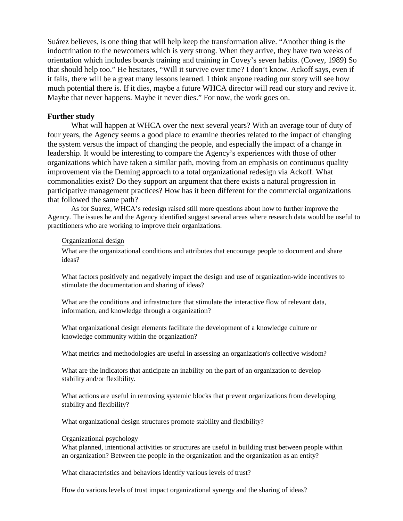Suárez believes, is one thing that will help keep the transformation alive. "Another thing is the indoctrination to the newcomers which is very strong. When they arrive, they have two weeks of orientation which includes boards training and training in Covey's seven habits. (Covey, 1989) So that should help too." He hesitates, "Will it survive over time? I don't know. Ackoff says, even if it fails, there will be a great many lessons learned. I think anyone reading our story will see how much potential there is. If it dies, maybe a future WHCA director will read our story and revive it. Maybe that never happens. Maybe it never dies." For now, the work goes on.

# **Further study**

What will happen at WHCA over the next several years? With an average tour of duty of four years, the Agency seems a good place to examine theories related to the impact of changing the system versus the impact of changing the people, and especially the impact of a change in leadership. It would be interesting to compare the Agency's experiences with those of other organizations which have taken a similar path, moving from an emphasis on continuous quality improvement via the Deming approach to a total organizational redesign via Ackoff. What commonalities exist? Do they support an argument that there exists a natural progression in participative management practices? How has it been different for the commercial organizations that followed the same path?

As for Suarez, WHCA's redesign raised still more questions about how to further improve the Agency. The issues he and the Agency identified suggest several areas where research data would be useful to practitioners who are working to improve their organizations.

#### Organizational design

What are the organizational conditions and attributes that encourage people to document and share ideas?

What factors positively and negatively impact the design and use of organization-wide incentives to stimulate the documentation and sharing of ideas?

What are the conditions and infrastructure that stimulate the interactive flow of relevant data, information, and knowledge through a organization?

What organizational design elements facilitate the development of a knowledge culture or knowledge community within the organization?

What metrics and methodologies are useful in assessing an organization's collective wisdom?

What are the indicators that anticipate an inability on the part of an organization to develop stability and/or flexibility.

What actions are useful in removing systemic blocks that prevent organizations from developing stability and flexibility?

What organizational design structures promote stability and flexibility?

#### Organizational psychology

What planned, intentional activities or structures are useful in building trust between people within an organization? Between the people in the organization and the organization as an entity?

What characteristics and behaviors identify various levels of trust?

How do various levels of trust impact organizational synergy and the sharing of ideas?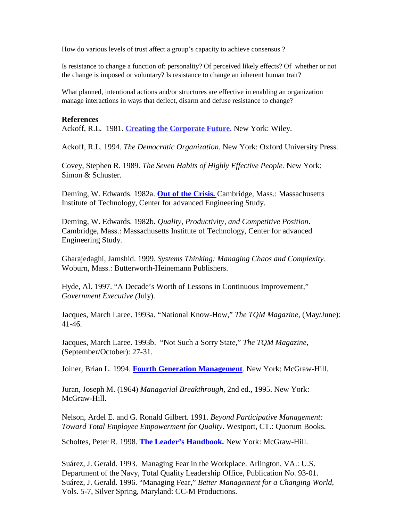How do various levels of trust affect a group's capacity to achieve consensus ?

Is resistance to change a function of: personality? Of perceived likely effects? Of whether or not the change is imposed or voluntary? Is resistance to change an inherent human trait?

What planned, intentional actions and/or structures are effective in enabling an organization manage interactions in ways that deflect, disarm and defuse resistance to change?

# **References**

Ackoff, R.L. 1981. **[Creating the Corporate Future.](http://management.curiouscat.net/books/62-Creating-the-Corporate-Future)** New York: Wiley.

Ackoff, R.L. 1994. *The Democratic Organization.* New York: Oxford University Press.

Covey, Stephen R. 1989. *The Seven Habits of Highly Effective People.* New York: Simon & Schuster.

Deming, W. Edwards. 1982a. **[Out of the Crisis.](http://management.curiouscat.net/books/175-Out-of-the-Crisis)** Cambridge, Mass.: Massachusetts Institute of Technology, Center for advanced Engineering Study.

Deming, W. Edwards. 1982b. *Quality, Productivity, and Competitive Position*. Cambridge, Mass.: Massachusetts Institute of Technology, Center for advanced Engineering Study.

Gharajedaghi, Jamshid. 1999. *Systems Thinking: Managing Chaos and Complexity.* Woburn, Mass.: Butterworth-Heinemann Publishers.

Hyde, Al. 1997. "A Decade's Worth of Lessons in Continuous Improvement," *Government Executive (*July).

Jacques, March Laree. 1993a. "National Know-How," *The TQM Magazine,* (May/June): 41-46.

Jacques, March Laree. 1993b. "Not Such a Sorry State," *The TQM Magazine,* (September/October): 27-31.

Joiner, Brian L. 1994. **[Fourth Generation Management](http://management.curiouscat.net/books/16-Fourth-Generation-Management)***.* New York: McGraw-Hill.

Juran, Joseph M. (1964) *Managerial Breakthrough*, 2nd ed., 1995. New York: McGraw-Hill.

Nelson, Ardel E. and G. Ronald Gilbert. 1991. *Beyond Participative Management: Toward Total Employee Empowerment for Quality*. Westport, CT.: Quorum Books.

Scholtes, Peter R. 1998. **[The Leader's Handbook.](http://pscholtes.com/handbook.htm)** New York: McGraw-Hill.

Suárez, J. Gerald. 1993. Managing Fear in the Workplace*.* Arlington, VA.: U.S. Department of the Navy, Total Quality Leadership Office, Publication No. 93-01. Suárez, J. Gerald. 1996. "Managing Fear," *Better Management for a Changing World,* Vols. 5-7, Silver Spring, Maryland: CC-M Productions.